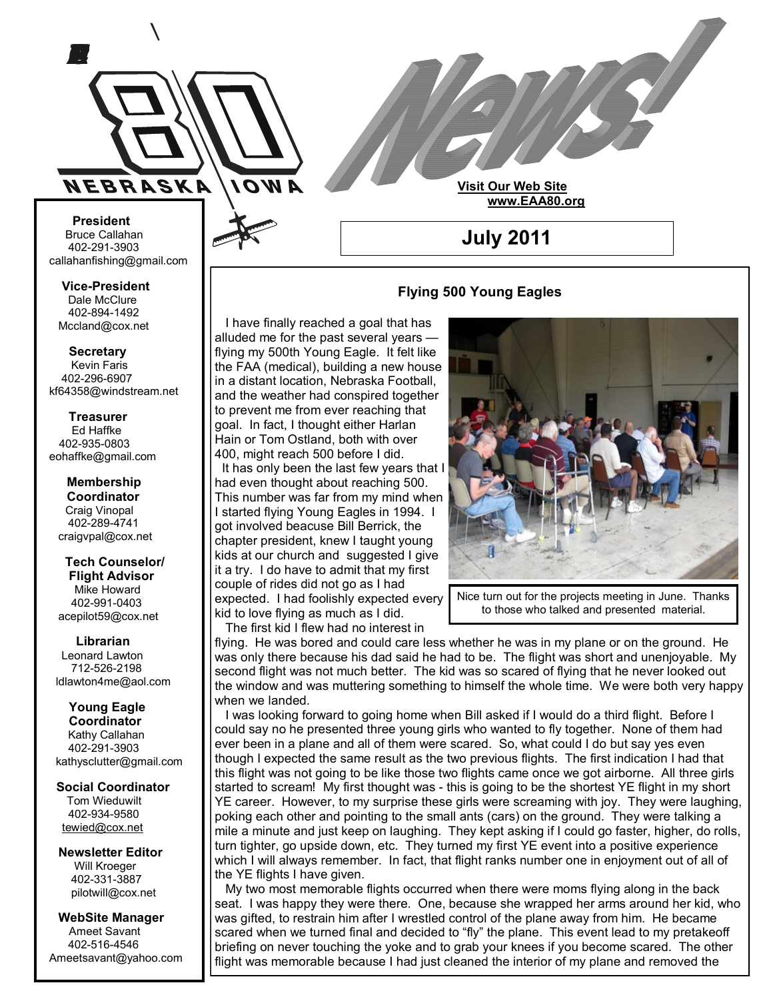

**Bruce Callahan** 402-291-3903 callahanfishing@gmail.com jrnuke@cox.net  **President**

Dale McClure 402-894-1492 Mccland@cox.net jrnuke@cox.net **Vice-President**

**Kevin Faris** 402-296-6907 kf64358@windstream.net airmeyer1@cox.net  **Secretary**

Ed Haffke 402-935-0803 eohaffke@gmail.com  **Treasurer**

**Membership Coordi- Coordinator Craig Vinopal** Bob Cartwright 402-289-4741 craigvpal@cox.net  **Membership** 

**Tech Counselors & Flight Advisor** Mike Howard 402-991-0403 acepilot59@cox.net  **Tech Counselor/**

Leonard Lawton 402-991-0403 712-526-2198 ldlawton4me@aol.com  **Librarian**

**Librarian Young Eagle Coordinator** Kathy Callahan ldlawton4me@aol.com 402-291-3903 **Young Eagle** kathysclutter@gmail.com

**Coordinator Social Coordinator** Tom Wieduwilt 402-934-9580 402-934-9580<br><u>[tewied@cox.net](javascript:parent.wgMail.openComposeWindow()</u>

**Newsletter Editor Newsletter Editor** Will Kroeger Will Kroeger 402-331-3887 pilotwill@cox.net pilotwill@cox.net

**WebSite Manager** Ameet Savant Ameet Savant 402-516-4546 ameetsavant@Yahoo.com

# **Flying 500 Young Eagles**

**July 2011**

**Visit Our Web Site**

 **www.EAA80.org**

 I have finally reached a goal that has alluded me for the past several years flying my 500th Young Eagle. It felt like the FAA (medical), building a new house in a distant location, Nebraska Football, and the weather had conspired together to prevent me from ever reaching that goal. In fact, I thought either Harlan Hain or Tom Ostland, both with over 400, might reach 500 before I did.

 It has only been the last few years that I had even thought about reaching 500. This number was far from my mind when I started flying Young Eagles in 1994. I got involved beacuse Bill Berrick, the chapter president, knew I taught young kids at our church and suggested I give it a try. I do have to admit that my first couple of rides did not go as I had expected. I had foolishly expected every kid to love flying as much as I did. The first kid I flew had no interest in

flying. He was bored and could care less whether he was in my plane or on the ground. He was only there because his dad said he had to be. The flight was short and unenjoyable. My second flight was not much better. The kid was so scared of flying that he never looked out the window and was muttering something to himself the whole time. We were both very happy when we landed.

 I was looking forward to going home when Bill asked if I would do a third flight. Before I could say no he presented three young girls who wanted to fly together. None of them had ever been in a plane and all of them were scared. So, what could I do but say yes even though I expected the same result as the two previous flights. The first indication I had that this flight was not going to be like those two flights came once we got airborne. All three girls started to scream! My first thought was - this is going to be the shortest YE flight in my short YE career. However, to my surprise these girls were screaming with joy. They were laughing, poking each other and pointing to the small ants (cars) on the ground. They were talking a mile a minute and just keep on laughing. They kept asking if I could go faster, higher, do rolls, turn tighter, go upside down, etc. They turned my first YE event into a positive experience which I will always remember. In fact, that flight ranks number one in enjoyment out of all of the YE flights I have given. Americans are constructed in the three for the projects meeting in June. Thanks<br>
are projects and the burst kid the what on identicat in<br>
Librarian<br>
Librarian<br>
Librarian<br>
Librarian<br>
Librarian<br>
Librarian<br>
Librarian<br>
Librar

 My two most memorable flights occurred when there were moms flying along in the back seat. I was happy they were there. One, because she wrapped her arms around her kid, who was gifted, to restrain him after I wrestled control of the plane away from him. He became scared when we turned final and decided to "fly" the plane. This event lead to my pretakeoff briefing on never touching the yoke and to grab your knees if you become scared. The other flight was memorable because I had just cleaned the interior of my plane and removed the

to those who talked and presented material.

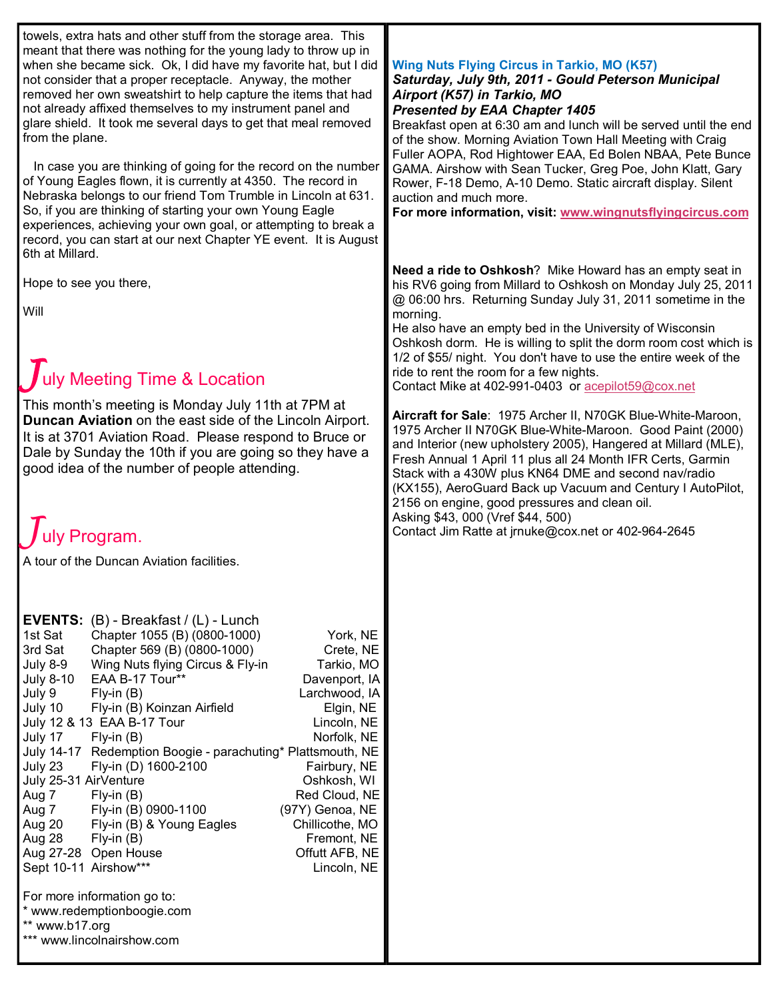| towels, extra hats and other stuff from the storage area. This<br>meant that there was nothing for the young lady to throw up in<br>when she became sick. Ok, I did have my favorite hat, but I did<br>not consider that a proper receptacle. Anyway, the mother<br>removed her own sweatshirt to help capture the items that had<br>not already affixed themselves to my instrument panel and<br>glare shield. It took me several days to get that meal removed<br>from the plane.<br>In case you are thinking of going for the record on the number<br>of Young Eagles flown, it is currently at 4350. The record in<br>Nebraska belongs to our friend Tom Trumble in Lincoln at 631.<br>So, if you are thinking of starting your own Young Eagle<br>experiences, achieving your own goal, or attempting to break a<br>record, you can start at our next Chapter YE event. It is August<br>6th at Millard.                                                                                                                        | <b>Wing Nuts Flying Circus in Tarkio, MO (K57)</b><br>Saturday, July 9th, 2011 - Gould Peterson Municipal<br>Airport (K57) in Tarkio, MO<br><b>Presented by EAA Chapter 1405</b><br>Breakfast open at 6:30 am and lunch will be served until the end<br>of the show. Morning Aviation Town Hall Meeting with Craig<br>Fuller AOPA, Rod Hightower EAA, Ed Bolen NBAA, Pete Bunce<br>GAMA. Airshow with Sean Tucker, Greg Poe, John Klatt, Gary<br>Rower, F-18 Demo, A-10 Demo. Static aircraft display. Silent<br>auction and much more.<br>For more information, visit: www.wingnutsflyingcircus.com                                                                                                                                                                                                                                                                                                                                                                                                                                      |
|-------------------------------------------------------------------------------------------------------------------------------------------------------------------------------------------------------------------------------------------------------------------------------------------------------------------------------------------------------------------------------------------------------------------------------------------------------------------------------------------------------------------------------------------------------------------------------------------------------------------------------------------------------------------------------------------------------------------------------------------------------------------------------------------------------------------------------------------------------------------------------------------------------------------------------------------------------------------------------------------------------------------------------------|-------------------------------------------------------------------------------------------------------------------------------------------------------------------------------------------------------------------------------------------------------------------------------------------------------------------------------------------------------------------------------------------------------------------------------------------------------------------------------------------------------------------------------------------------------------------------------------------------------------------------------------------------------------------------------------------------------------------------------------------------------------------------------------------------------------------------------------------------------------------------------------------------------------------------------------------------------------------------------------------------------------------------------------------|
| Hope to see you there,<br>Will<br>$\int$ uly Meeting Time & Location<br>This month's meeting is Monday July 11th at 7PM at<br>Duncan Aviation on the east side of the Lincoln Airport.<br>It is at 3701 Aviation Road. Please respond to Bruce or<br>Dale by Sunday the 10th if you are going so they have a<br>good idea of the number of people attending.<br>July Program.<br>A tour of the Duncan Aviation facilities.                                                                                                                                                                                                                                                                                                                                                                                                                                                                                                                                                                                                          | Need a ride to Oshkosh? Mike Howard has an empty seat in<br>his RV6 going from Millard to Oshkosh on Monday July 25, 2011<br>@ 06:00 hrs. Returning Sunday July 31, 2011 sometime in the<br>morning.<br>He also have an empty bed in the University of Wisconsin<br>Oshkosh dorm. He is willing to split the dorm room cost which is<br>1/2 of \$55/ night. You don't have to use the entire week of the<br>ride to rent the room for a few nights.<br>Contact Mike at 402-991-0403 or acepilot59@cox.net<br>Aircraft for Sale: 1975 Archer II, N70GK Blue-White-Maroon,<br>1975 Archer II N70GK Blue-White-Maroon. Good Paint (2000)<br>and Interior (new upholstery 2005), Hangered at Millard (MLE),<br>Fresh Annual 1 April 11 plus all 24 Month IFR Certs, Garmin<br>Stack with a 430W plus KN64 DME and second nav/radio<br>(KX155), AeroGuard Back up Vacuum and Century I AutoPilot,<br>2156 on engine, good pressures and clean oil.<br>Asking \$43, 000 (Vref \$44, 500)<br>Contact Jim Ratte at jrnuke@cox.net or 402-964-2645 |
| <b>EVENTS:</b> $(B)$ - Breakfast / $(L)$ - Lunch<br>Chapter 1055 (B) (0800-1000)<br>1st Sat<br>York, NE<br>Chapter 569 (B) (0800-1000)<br>3rd Sat<br>Crete, NE<br>Wing Nuts flying Circus & Fly-in<br>Tarkio, MO<br>July 8-9<br>EAA B-17 Tour**<br>Davenport, IA<br><b>July 8-10</b><br>Larchwood, IA<br>July 9<br>$Fly-in(B)$<br>July 10<br>Fly-in (B) Koinzan Airfield<br>Elgin, NE<br>July 12 & 13 EAA B-17 Tour<br>Lincoln, NE<br>Norfolk, NE<br>July 17<br>$Fly-in(B)$<br>July 14-17 Redemption Boogie - parachuting* Plattsmouth, NE<br>Fly-in (D) 1600-2100<br>July 23<br>Fairbury, NE<br>July 25-31 AirVenture<br>Oshkosh, WI<br>Aug 7<br>$Fly-in(B)$<br>Red Cloud, NE<br>Fly-in (B) 0900-1100<br>(97Y) Genoa, NE<br>Aug 7<br>Fly-in (B) & Young Eagles<br>Chillicothe, MO<br>Aug 20<br>Fremont, NE<br>Aug 28<br>$Fly-in(B)$<br>Offutt AFB, NE<br>Aug 27-28 Open House<br>Sept 10-11 Airshow***<br>Lincoln, NE<br>For more information go to:<br>* www.redemptionboogie.com<br>** www.b17.org<br>*** www.lincolnairshow.com |                                                                                                                                                                                                                                                                                                                                                                                                                                                                                                                                                                                                                                                                                                                                                                                                                                                                                                                                                                                                                                           |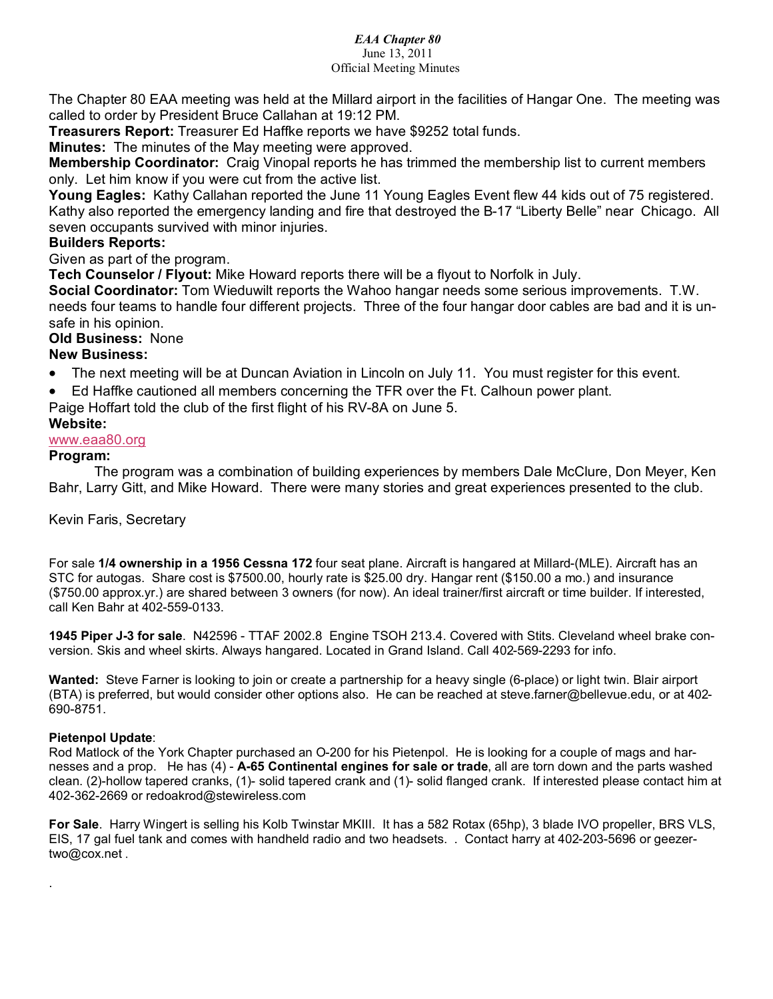#### *EAA Chapter 80*

# June 13, 2011

### Official Meeting Minutes

The Chapter 80 EAA meeting was held at the Millard airport in the facilities of Hangar One. The meeting was called to order by President Bruce Callahan at 19:12 PM.

**Treasurers Report:** Treasurer Ed Haffke reports we have \$9252 total funds.

**Minutes:** The minutes of the May meeting were approved.

**Membership Coordinator:** Craig Vinopal reports he has trimmed the membership list to current members only. Let him know if you were cut from the active list.

**Young Eagles:** Kathy Callahan reported the June 11 Young Eagles Event flew 44 kids out of 75 registered. Kathy also reported the emergency landing and fire that destroyed the B-17 "Liberty Belle" near Chicago. All seven occupants survived with minor injuries.

# **Builders Reports:**

Given as part of the program.

**Tech Counselor / Flyout:** Mike Howard reports there will be a flyout to Norfolk in July.

**Social Coordinator:** Tom Wieduwilt reports the Wahoo hangar needs some serious improvements. T.W. needs four teams to handle four different projects. Three of the four hangar door cables are bad and it is unsafe in his opinion.

### **Old Business:** None

# **New Business:**

- The next meeting will be at Duncan Aviation in Lincoln on July 11. You must register for this event.
- Ed Haffke cautioned all members concerning the TFR over the Ft. Calhoun power plant.
- Paige Hoffart told the club of the first flight of his RV-8A on June 5.

# **Website:**

[www.eaa80.org](http://www.eaa80.org/)

### **Program:**

The program was a combination of building experiences by members Dale McClure, Don Meyer, Ken Bahr, Larry Gitt, and Mike Howard. There were many stories and great experiences presented to the club.

### Kevin Faris, Secretary

For sale **1/4 ownership in a 1956 Cessna 172** four seat plane. Aircraft is hangared at Millard-(MLE). Aircraft has an STC for autogas. Share cost is \$7500.00, hourly rate is \$25.00 dry. Hangar rent (\$150.00 a mo.) and insurance (\$750.00 approx.yr.) are shared between 3 owners (for now). An ideal trainer/first aircraft or time builder. If interested, call Ken Bahr at 402-559-0133.

**1945 Piper J-3 for sale**. N42596 - TTAF 2002.8 Engine TSOH 213.4. Covered with Stits. Cleveland wheel brake conversion. Skis and wheel skirts. Always hangared. Located in Grand Island. Call 402-569-2293 for info.

**Wanted:** Steve Farner is looking to join or create a partnership for a heavy single (6-place) or light twin. Blair airport (BTA) is preferred, but would consider other options also. He can be reached at steve.farner@bellevue.edu, or at 402- 690-8751.

### **Pietenpol Update**:

.

Rod Matlock of the York Chapter purchased an O-200 for his Pietenpol. He is looking for a couple of mags and harnesses and a prop. He has (4) - **A-65 Continental engines for sale or trade**, all are torn down and the parts washed clean. (2)-hollow tapered cranks, (1)- solid tapered crank and (1)- solid flanged crank. If interested please contact him at 402-362-2669 or redoakrod@stewireless.com

**For Sale**. Harry Wingert is selling his Kolb Twinstar MKIII. It has a 582 Rotax (65hp), 3 blade IVO propeller, BRS VLS, EIS, 17 gal fuel tank and comes with handheld radio and two headsets. . Contact harry at 402-203-5696 or geezertwo@cox.net .